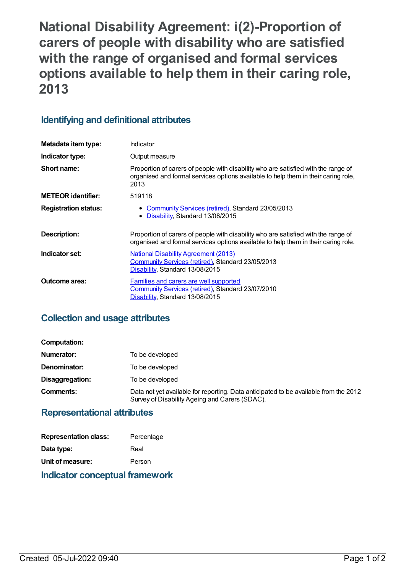**National Disability Agreement: i(2)-Proportion of carers of people with disability who are satisfied with the range of organised and formal services options available to help them in their caring role, 2013**

## **Identifying and definitional attributes**

| Metadata item type:         | Indicator                                                                                                                                                                        |
|-----------------------------|----------------------------------------------------------------------------------------------------------------------------------------------------------------------------------|
| Indicator type:             | Output measure                                                                                                                                                                   |
| Short name:                 | Proportion of carers of people with disability who are satisfied with the range of<br>organised and formal services options available to help them in their caring role,<br>2013 |
| <b>METEOR identifier:</b>   | 519118                                                                                                                                                                           |
| <b>Registration status:</b> | • Community Services (retired), Standard 23/05/2013<br>Disability, Standard 13/08/2015<br>٠                                                                                      |
| Description:                | Proportion of carers of people with disability who are satisfied with the range of<br>organised and formal services options available to help them in their caring role.         |
| Indicator set:              | <b>National Disability Agreement (2013)</b><br>Community Services (retired), Standard 23/05/2013<br>Disability, Standard 13/08/2015                                              |
| <b>Outcome area:</b>        | <b>Families and carers are well supported</b><br>Community Services (retired), Standard 23/07/2010<br>Disability, Standard 13/08/2015                                            |

## **Collection and usage attributes**

| Computation:    |                                                                                                                                        |
|-----------------|----------------------------------------------------------------------------------------------------------------------------------------|
| Numerator:      | To be developed                                                                                                                        |
| Denominator:    | To be developed                                                                                                                        |
| Disaggregation: | To be developed                                                                                                                        |
| Comments:       | Data not yet available for reporting. Data anticipated to be available from the 2012<br>Survey of Disability Ageing and Carers (SDAC). |

### **Representational attributes**

| <b>Representation class:</b> | Percentage |
|------------------------------|------------|
| Data type:                   | Real       |
| Unit of measure:             | Person     |
|                              |            |

### **Indicator conceptual framework**